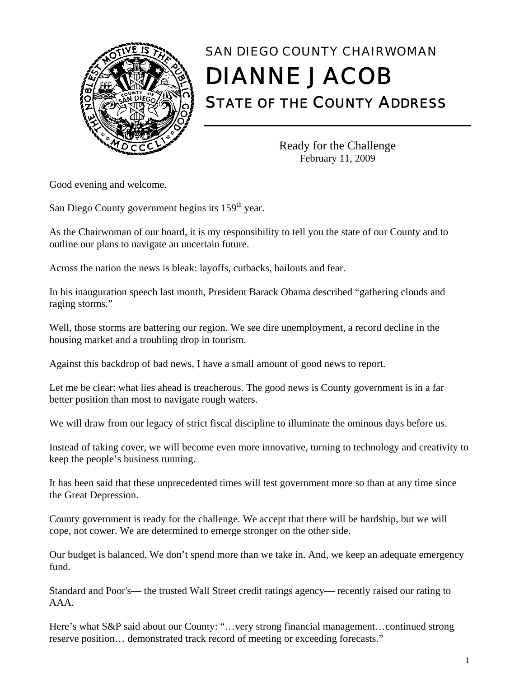

## SAN DIEGO COUNTY CHAIRWOMAN DIANNE JACOB

STATE OF THE COUNTY ADDRESS

Ready for the Challenge February 11, 2009

Good evening and welcome.

San Diego County government begins its  $159<sup>th</sup>$  year.

As the Chairwoman of our board, it is my responsibility to tell you the state of our County and to outline our plans to navigate an uncertain future.

Across the nation the news is bleak: layoffs, cutbacks, bailouts and fear.

In his inauguration speech last month, President Barack Obama described "gathering clouds and raging storms."

Well, those storms are battering our region. We see dire unemployment, a record decline in the housing market and a troubling drop in tourism.

Against this backdrop of bad news, I have a small amount of good news to report.

Let me be clear: what lies ahead is treacherous. The good news is County government is in a far better position than most to navigate rough waters.

We will draw from our legacy of strict fiscal discipline to illuminate the ominous days before us.

Instead of taking cover, we will become even more innovative, turning to technology and creativity to keep the people's business running.

It has been said that these unprecedented times will test government more so than at any time since the Great Depression.

County government is ready for the challenge. We accept that there will be hardship, but we will cope, not cower. We are determined to emerge stronger on the other side.

Our budget is balanced. We don't spend more than we take in. And, we keep an adequate emergency fund.

Standard and Poor's— the trusted Wall Street credit ratings agency— recently raised our rating to AAA.

Here's what S&P said about our County: "…very strong financial management…continued strong reserve position… demonstrated track record of meeting or exceeding forecasts."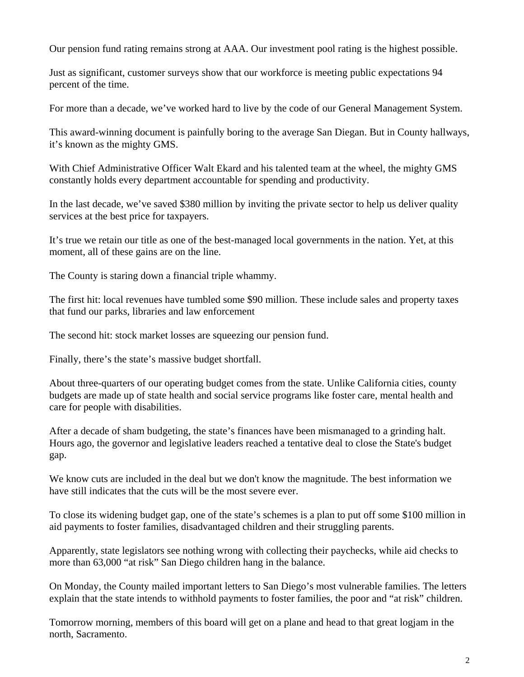Our pension fund rating remains strong at AAA. Our investment pool rating is the highest possible.

Just as significant, customer surveys show that our workforce is meeting public expectations 94 percent of the time.

For more than a decade, we've worked hard to live by the code of our General Management System.

This award-winning document is painfully boring to the average San Diegan. But in County hallways, it's known as the mighty GMS.

With Chief Administrative Officer Walt Ekard and his talented team at the wheel, the mighty GMS constantly holds every department accountable for spending and productivity.

In the last decade, we've saved \$380 million by inviting the private sector to help us deliver quality services at the best price for taxpayers.

It's true we retain our title as one of the best-managed local governments in the nation. Yet, at this moment, all of these gains are on the line.

The County is staring down a financial triple whammy.

The first hit: local revenues have tumbled some \$90 million. These include sales and property taxes that fund our parks, libraries and law enforcement

The second hit: stock market losses are squeezing our pension fund.

Finally, there's the state's massive budget shortfall.

About three-quarters of our operating budget comes from the state. Unlike California cities, county budgets are made up of state health and social service programs like foster care, mental health and care for people with disabilities.

After a decade of sham budgeting, the state's finances have been mismanaged to a grinding halt. Hours ago, the governor and legislative leaders reached a tentative deal to close the State's budget gap.

We know cuts are included in the deal but we don't know the magnitude. The best information we have still indicates that the cuts will be the most severe ever.

To close its widening budget gap, one of the state's schemes is a plan to put off some \$100 million in aid payments to foster families, disadvantaged children and their struggling parents.

Apparently, state legislators see nothing wrong with collecting their paychecks, while aid checks to more than 63,000 "at risk" San Diego children hang in the balance.

On Monday, the County mailed important letters to San Diego's most vulnerable families. The letters explain that the state intends to withhold payments to foster families, the poor and "at risk" children.

Tomorrow morning, members of this board will get on a plane and head to that great logjam in the north, Sacramento.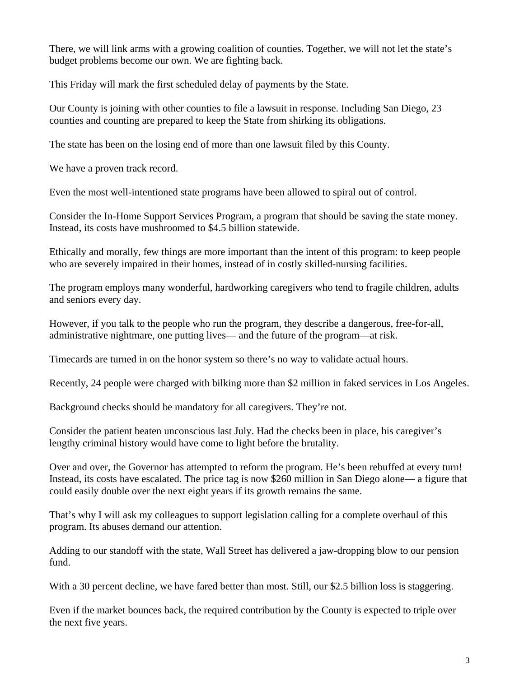There, we will link arms with a growing coalition of counties. Together, we will not let the state's budget problems become our own. We are fighting back.

This Friday will mark the first scheduled delay of payments by the State.

Our County is joining with other counties to file a lawsuit in response. Including San Diego, 23 counties and counting are prepared to keep the State from shirking its obligations.

The state has been on the losing end of more than one lawsuit filed by this County.

We have a proven track record.

Even the most well-intentioned state programs have been allowed to spiral out of control.

Consider the In-Home Support Services Program, a program that should be saving the state money. Instead, its costs have mushroomed to \$4.5 billion statewide.

Ethically and morally, few things are more important than the intent of this program: to keep people who are severely impaired in their homes, instead of in costly skilled-nursing facilities.

The program employs many wonderful, hardworking caregivers who tend to fragile children, adults and seniors every day.

However, if you talk to the people who run the program, they describe a dangerous, free-for-all, administrative nightmare, one putting lives— and the future of the program—at risk.

Timecards are turned in on the honor system so there's no way to validate actual hours.

Recently, 24 people were charged with bilking more than \$2 million in faked services in Los Angeles.

Background checks should be mandatory for all caregivers. They're not.

Consider the patient beaten unconscious last July. Had the checks been in place, his caregiver's lengthy criminal history would have come to light before the brutality.

Over and over, the Governor has attempted to reform the program. He's been rebuffed at every turn! Instead, its costs have escalated. The price tag is now \$260 million in San Diego alone— a figure that could easily double over the next eight years if its growth remains the same.

That's why I will ask my colleagues to support legislation calling for a complete overhaul of this program. Its abuses demand our attention.

Adding to our standoff with the state, Wall Street has delivered a jaw-dropping blow to our pension fund.

With a 30 percent decline, we have fared better than most. Still, our \$2.5 billion loss is staggering.

Even if the market bounces back, the required contribution by the County is expected to triple over the next five years.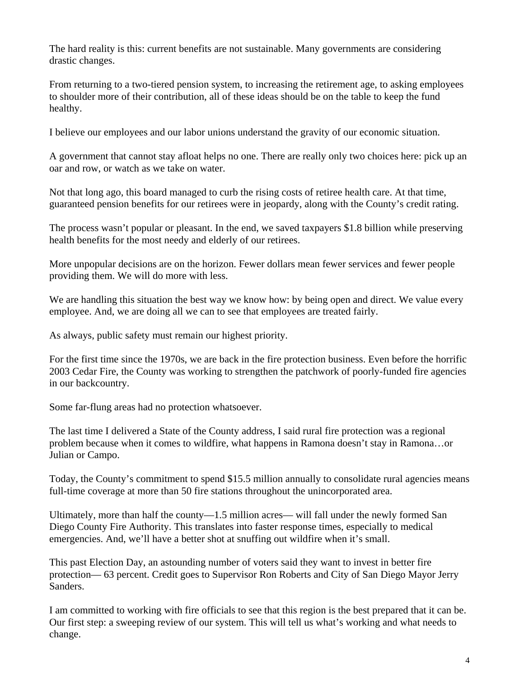The hard reality is this: current benefits are not sustainable. Many governments are considering drastic changes.

From returning to a two-tiered pension system, to increasing the retirement age, to asking employees to shoulder more of their contribution, all of these ideas should be on the table to keep the fund healthy.

I believe our employees and our labor unions understand the gravity of our economic situation.

A government that cannot stay afloat helps no one. There are really only two choices here: pick up an oar and row, or watch as we take on water.

Not that long ago, this board managed to curb the rising costs of retiree health care. At that time, guaranteed pension benefits for our retirees were in jeopardy, along with the County's credit rating.

The process wasn't popular or pleasant. In the end, we saved taxpayers \$1.8 billion while preserving health benefits for the most needy and elderly of our retirees.

More unpopular decisions are on the horizon. Fewer dollars mean fewer services and fewer people providing them. We will do more with less.

We are handling this situation the best way we know how: by being open and direct. We value every employee. And, we are doing all we can to see that employees are treated fairly.

As always, public safety must remain our highest priority.

For the first time since the 1970s, we are back in the fire protection business. Even before the horrific 2003 Cedar Fire, the County was working to strengthen the patchwork of poorly-funded fire agencies in our backcountry.

Some far-flung areas had no protection whatsoever.

The last time I delivered a State of the County address, I said rural fire protection was a regional problem because when it comes to wildfire, what happens in Ramona doesn't stay in Ramona…or Julian or Campo.

Today, the County's commitment to spend \$15.5 million annually to consolidate rural agencies means full-time coverage at more than 50 fire stations throughout the unincorporated area.

Ultimately, more than half the county—1.5 million acres— will fall under the newly formed San Diego County Fire Authority. This translates into faster response times, especially to medical emergencies. And, we'll have a better shot at snuffing out wildfire when it's small.

This past Election Day, an astounding number of voters said they want to invest in better fire protection— 63 percent. Credit goes to Supervisor Ron Roberts and City of San Diego Mayor Jerry Sanders.

I am committed to working with fire officials to see that this region is the best prepared that it can be. Our first step: a sweeping review of our system. This will tell us what's working and what needs to change.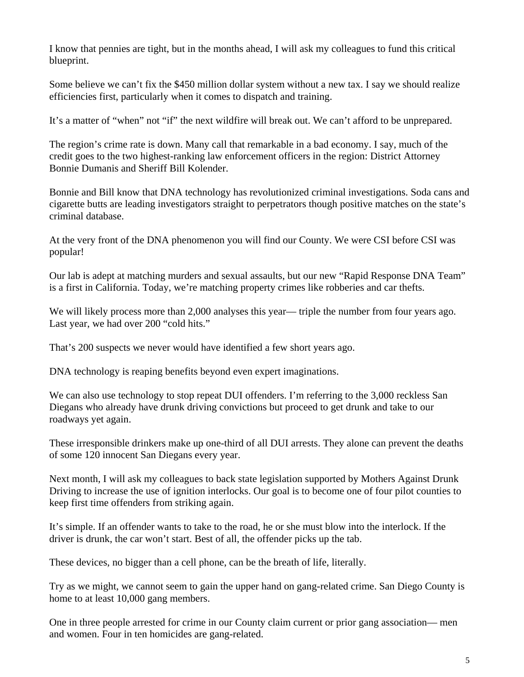I know that pennies are tight, but in the months ahead, I will ask my colleagues to fund this critical blueprint.

Some believe we can't fix the \$450 million dollar system without a new tax. I say we should realize efficiencies first, particularly when it comes to dispatch and training.

It's a matter of "when" not "if" the next wildfire will break out. We can't afford to be unprepared.

The region's crime rate is down. Many call that remarkable in a bad economy. I say, much of the credit goes to the two highest-ranking law enforcement officers in the region: District Attorney Bonnie Dumanis and Sheriff Bill Kolender.

Bonnie and Bill know that DNA technology has revolutionized criminal investigations. Soda cans and cigarette butts are leading investigators straight to perpetrators though positive matches on the state's criminal database.

At the very front of the DNA phenomenon you will find our County. We were CSI before CSI was popular!

Our lab is adept at matching murders and sexual assaults, but our new "Rapid Response DNA Team" is a first in California. Today, we're matching property crimes like robberies and car thefts.

We will likely process more than 2,000 analyses this year— triple the number from four years ago. Last year, we had over 200 "cold hits."

That's 200 suspects we never would have identified a few short years ago.

DNA technology is reaping benefits beyond even expert imaginations.

We can also use technology to stop repeat DUI offenders. I'm referring to the 3,000 reckless San Diegans who already have drunk driving convictions but proceed to get drunk and take to our roadways yet again.

These irresponsible drinkers make up one-third of all DUI arrests. They alone can prevent the deaths of some 120 innocent San Diegans every year.

Next month, I will ask my colleagues to back state legislation supported by Mothers Against Drunk Driving to increase the use of ignition interlocks. Our goal is to become one of four pilot counties to keep first time offenders from striking again.

It's simple. If an offender wants to take to the road, he or she must blow into the interlock. If the driver is drunk, the car won't start. Best of all, the offender picks up the tab.

These devices, no bigger than a cell phone, can be the breath of life, literally.

Try as we might, we cannot seem to gain the upper hand on gang-related crime. San Diego County is home to at least 10,000 gang members.

One in three people arrested for crime in our County claim current or prior gang association— men and women. Four in ten homicides are gang-related.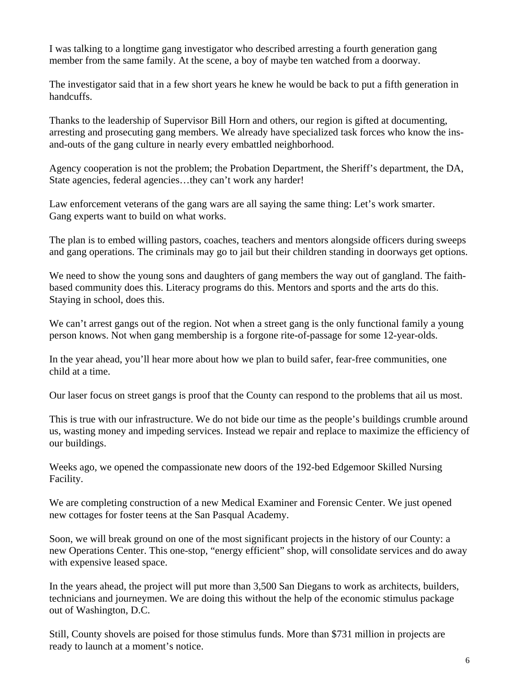I was talking to a longtime gang investigator who described arresting a fourth generation gang member from the same family. At the scene, a boy of maybe ten watched from a doorway.

The investigator said that in a few short years he knew he would be back to put a fifth generation in handcuffs.

Thanks to the leadership of Supervisor Bill Horn and others, our region is gifted at documenting, arresting and prosecuting gang members. We already have specialized task forces who know the insand-outs of the gang culture in nearly every embattled neighborhood.

Agency cooperation is not the problem; the Probation Department, the Sheriff's department, the DA, State agencies, federal agencies…they can't work any harder!

Law enforcement veterans of the gang wars are all saying the same thing: Let's work smarter. Gang experts want to build on what works.

The plan is to embed willing pastors, coaches, teachers and mentors alongside officers during sweeps and gang operations. The criminals may go to jail but their children standing in doorways get options.

We need to show the young sons and daughters of gang members the way out of gangland. The faithbased community does this. Literacy programs do this. Mentors and sports and the arts do this. Staying in school, does this.

We can't arrest gangs out of the region. Not when a street gang is the only functional family a young person knows. Not when gang membership is a forgone rite-of-passage for some 12-year-olds.

In the year ahead, you'll hear more about how we plan to build safer, fear-free communities, one child at a time.

Our laser focus on street gangs is proof that the County can respond to the problems that ail us most.

This is true with our infrastructure. We do not bide our time as the people's buildings crumble around us, wasting money and impeding services. Instead we repair and replace to maximize the efficiency of our buildings.

Weeks ago, we opened the compassionate new doors of the 192-bed Edgemoor Skilled Nursing Facility.

We are completing construction of a new Medical Examiner and Forensic Center. We just opened new cottages for foster teens at the San Pasqual Academy.

Soon, we will break ground on one of the most significant projects in the history of our County: a new Operations Center. This one-stop, "energy efficient" shop, will consolidate services and do away with expensive leased space.

In the years ahead, the project will put more than 3,500 San Diegans to work as architects, builders, technicians and journeymen. We are doing this without the help of the economic stimulus package out of Washington, D.C.

Still, County shovels are poised for those stimulus funds. More than \$731 million in projects are ready to launch at a moment's notice.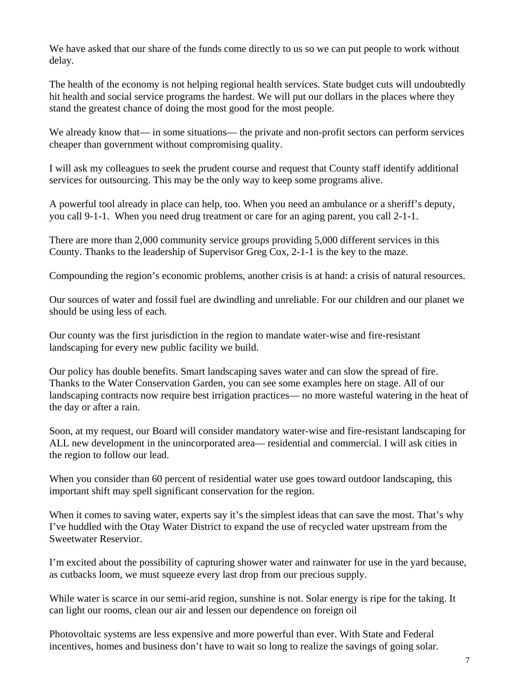We have asked that our share of the funds come directly to us so we can put people to work without delay.

The health of the economy is not helping regional health services. State budget cuts will undoubtedly hit health and social service programs the hardest. We will put our dollars in the places where they stand the greatest chance of doing the most good for the most people.

We already know that— in some situations— the private and non-profit sectors can perform services cheaper than government without compromising quality.

I will ask my colleagues to seek the prudent course and request that County staff identify additional services for outsourcing. This may be the only way to keep some programs alive.

A powerful tool already in place can help, too. When you need an ambulance or a sheriff's deputy, you call 9-1-1. When you need drug treatment or care for an aging parent, you call 2-1-1.

There are more than 2,000 community service groups providing 5,000 different services in this County. Thanks to the leadership of Supervisor Greg Cox, 2-1-1 is the key to the maze.

Compounding the region's economic problems, another crisis is at hand: a crisis of natural resources.

Our sources of water and fossil fuel are dwindling and unreliable. For our children and our planet we should be using less of each.

Our county was the first jurisdiction in the region to mandate water-wise and fire-resistant landscaping for every new public facility we build.

Our policy has double benefits. Smart landscaping saves water and can slow the spread of fire. Thanks to the Water Conservation Garden, you can see some examples here on stage. All of our landscaping contracts now require best irrigation practices— no more wasteful watering in the heat of the day or after a rain.

Soon, at my request, our Board will consider mandatory water-wise and fire-resistant landscaping for ALL new development in the unincorporated area— residential and commercial. I will ask cities in the region to follow our lead.

When you consider than 60 percent of residential water use goes toward outdoor landscaping, this important shift may spell significant conservation for the region.

When it comes to saving water, experts say it's the simplest ideas that can save the most. That's why I've huddled with the Otay Water District to expand the use of recycled water upstream from the Sweetwater Reservior.

I'm excited about the possibility of capturing shower water and rainwater for use in the yard because, as cutbacks loom, we must squeeze every last drop from our precious supply.

While water is scarce in our semi-arid region, sunshine is not. Solar energy is ripe for the taking. It can light our rooms, clean our air and lessen our dependence on foreign oil

Photovoltaic systems are less expensive and more powerful than ever. With State and Federal incentives, homes and business don't have to wait so long to realize the savings of going solar.